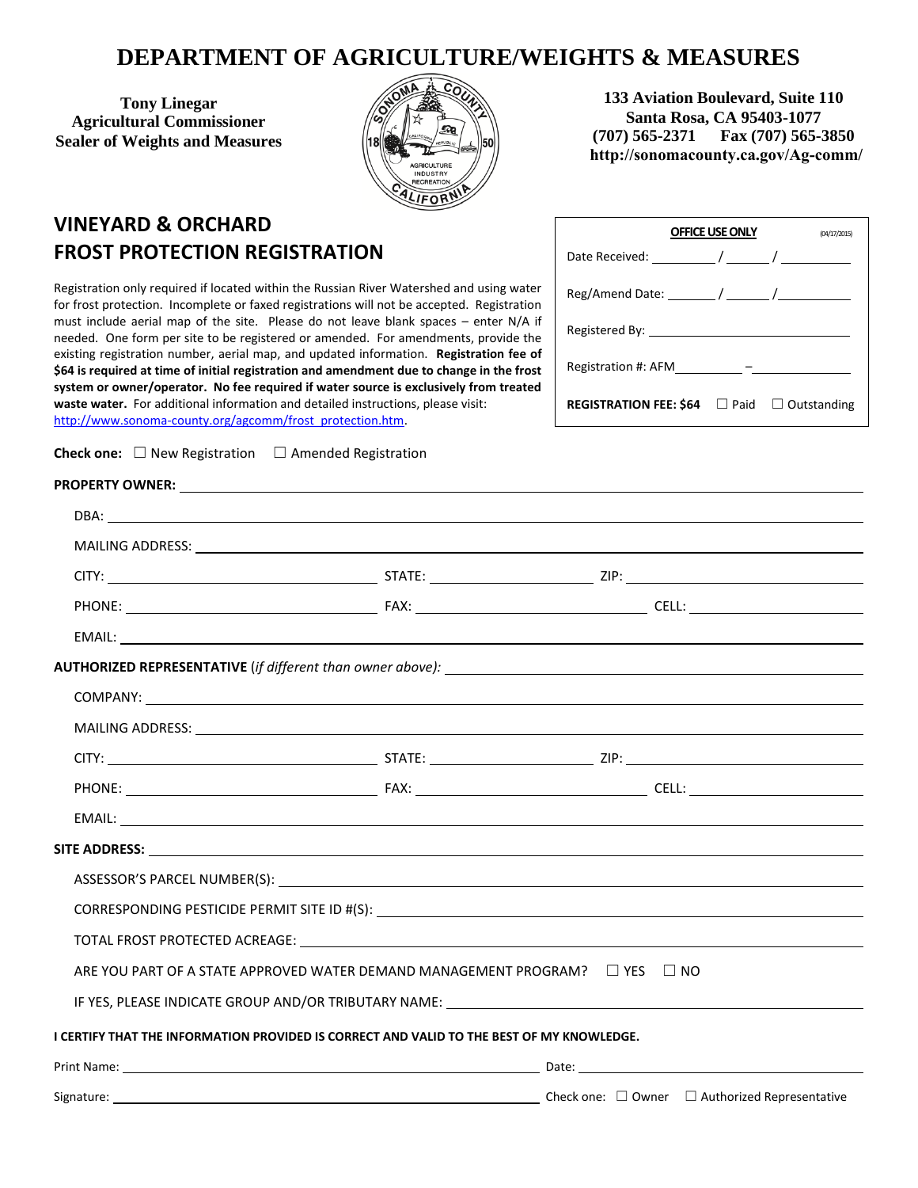## **DEPARTMENT OF AGRICULTURE/WEIGHTS & MEASURES**

**Tony Linegar Agricultural Commissioner Sealer of Weights and Measures** 



**133 Aviation Boulevard, Suite 110 Santa Rosa, CA 95403-1077 (707) 565-2371 Fax (707) 565-3850 http://sonomacounty.ca.gov/Ag-comm/**

## **VINEYARD & ORCHARD FROST PROTECTION REGISTRATION**

Registration only required if located within the Russian River Watershed and using water for frost protection. Incomplete or faxed registrations will not be accepted. Registration must include aerial map of the site. Please do not leave blank spaces – enter N/A if needed. One form per site to be registered or amended. For amendments, provide the existing registration number, aerial map, and updated information. **Registration fee of \$64 is required at time of initial registration and amendment due to change in the frost system or owner/operator. No fee required if water source is exclusively from treated waste water.** For additional information and detailed instructions, please visit: [http://www.sonoma-county.org/agcomm/frost\\_protection.htm.](http://www.sonoma-county.org/agcomm/frost_protection.htm) 

Check one: □ New Registration □ Amended Registration

| <b>OFFICE USE ONLY</b>        |      | (04/17/2015) |  |
|-------------------------------|------|--------------|--|
|                               |      |              |  |
|                               |      |              |  |
|                               |      |              |  |
|                               |      |              |  |
| REGISTRATION FEE: \$64 $\Box$ | Paid | Outstanding  |  |

| EMAIL: www.astronometer.com/web/2010/07/2010                                              |                                                                                   |
|-------------------------------------------------------------------------------------------|-----------------------------------------------------------------------------------|
|                                                                                           |                                                                                   |
|                                                                                           |                                                                                   |
|                                                                                           |                                                                                   |
|                                                                                           |                                                                                   |
|                                                                                           |                                                                                   |
|                                                                                           |                                                                                   |
|                                                                                           |                                                                                   |
|                                                                                           |                                                                                   |
|                                                                                           |                                                                                   |
|                                                                                           |                                                                                   |
| ARE YOU PART OF A STATE APPROVED WATER DEMAND MANAGEMENT PROGRAM? $\Box$ YES $\Box$ NO    |                                                                                   |
|                                                                                           | IF YES, PLEASE INDICATE GROUP AND/OR TRIBUTARY NAME: ____________________________ |
| I CERTIFY THAT THE INFORMATION PROVIDED IS CORRECT AND VALID TO THE BEST OF MY KNOWLEDGE. |                                                                                   |
|                                                                                           |                                                                                   |
|                                                                                           | Signature: 2000 Check one: $\Box$ Owner $\Box$ Authorized Representative          |